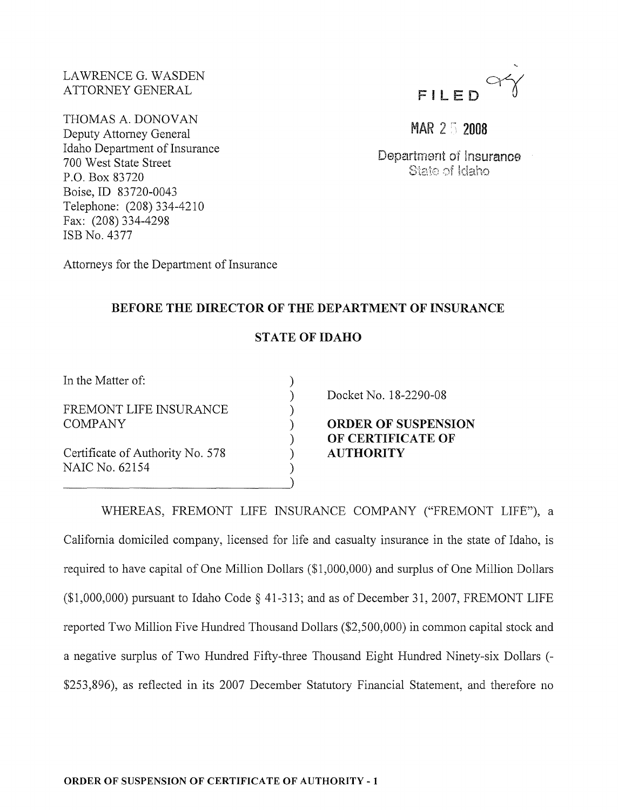LAWRENCE G. WASDEN ATTORNEY GENERAL

THOMAS A. DONOVAN Deputy Attorney General Idaho Department of Insurance 700 West State Street P.O. Box 83720 Boise, ID 83720-0043 Telephone: (208) 334-4210 Fax: (208) 334-4298 ISB No. 4377



MAR 2 5 2008

Department of insurance State of Idaho

Attorneys for the Department of Insurance

## **BEFORE THE DIRECTOR OF THE DEPARTMENT OF INSURANCE**

## **STATE OF IDAHO**

) ) ) ) ) ) )

In the Matter of:

FREMONT LIFE INSURANCE COMPANY

Certificate of Authority No. 578 NAIC No. 62154

--------------~)

Docket No. 18-2290-08

**ORDER OF SUSPENSION OF CERTIFICATE OF AUTHORITY**

WHEREAS, FREMONT LIFE INSURANCE COMPANY ("FREMONT LIFE"), a

California domiciled company, licensed for life and casualty insurance in the state of Idaho, is required to have capital of One Million Dollars (\$1,000,000) and surplus of One Million Dollars  $(1,000,000)$  pursuant to Idaho Code  $\S$  41-313; and as of December 31, 2007, FREMONT LIFE reported Two Million Five Hundred Thousand Dollars (\$2,500,000) in common capital stock and a negative surplus of Two Hundred Fifty-three Thousand Eight Hundred Ninety-six Dollars (- \$253,896), as reflected in its 2007 December Statutory Financial Statement, and therefore no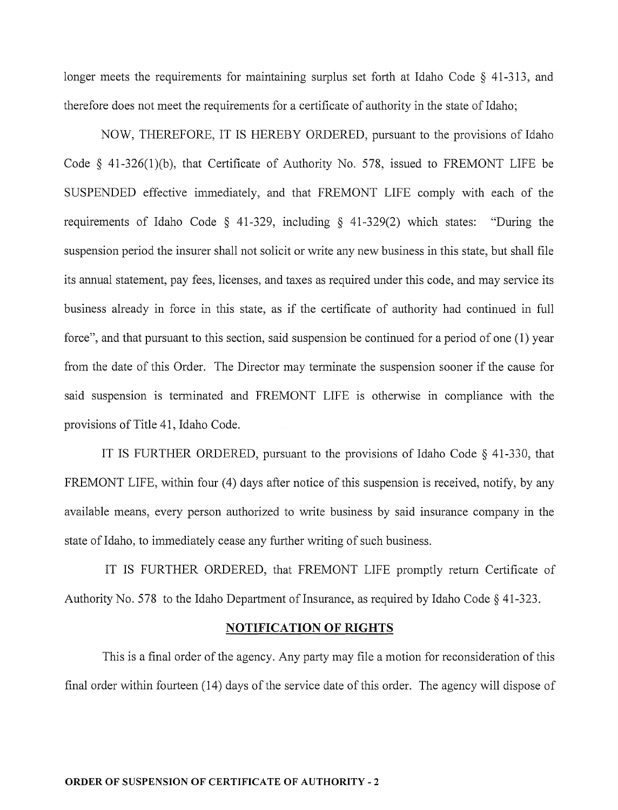longer meets the requirements for maintaining surplus set forth at Idaho Code § 41-313, and therefore does not meet the requirements for a certificate of authority in the state of Idaho;

NOW, THEREFORE, IT IS HEREBY ORDERED, pursuant to the provisions of Idaho Code § 41-326(1)(b), that Certificate of Authority No. 578, issued to FREMONT LIFE be SUSPENDED effective immediately, and that FREMONT LIFE comply with each of the requirements of Idaho Code § 41-329, including § 41-329(2) which states: "During the suspension period the insurer shall not solicit or write any new business in this state, but shall file its annual statement, pay fees, licenses, and taxes as required under this code, and may service its business already in force in this state, as if the certificate of authority had continued in full force", and that pursuant to this section, said suspension be continued for a period of one (1) year from the date of this Order. The Director may terminate the suspension sooner if the cause for said suspension is terminated and FREMONT LIFE is otherwise in compliance with the provisions of Title 41, Idaho Code.

IT IS FURTHER ORDERED, pursuant to the provisions of Idaho Code § 41-330, that FREMONT LIFE, within four (4) days after notice of this suspension is received, notify, by any available means, every person authorized to write business by said insurance company in the state of Idaho, to immediately cease any further writing of such business.

IT IS FURTHER ORDERED, that FREMONT LIFE promptly retum Certificate of Authority No. 578 to the Idaho Department of Insurance, as required by Idaho Code  $\S$  41-323.

## **NOTIFICATION OF RIGHTS**

This is a final order of the agency. Any party may file a motion for reconsideration of this final order within fourteen (14) days of the service date of this order. The agency will dispose of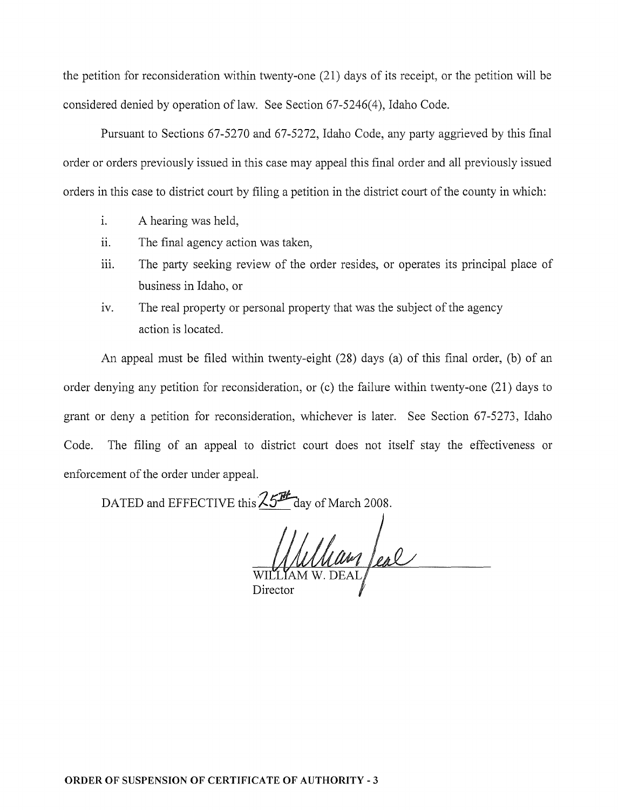the petition for reconsideration within twenty-one (21) days of its receipt, or the petition will be considered denied by operation of law. See Section 67-5246(4), Idaho Code.

Pursuant to Sections 67-5270 and 67-5272, Idaho Code, any party aggrieved by this final order or orders previously issued in this case may appeal this final order and all previously issued orders in this case to district court by filing a petition in the district court of the county in which:

- 1. A hearing was held,
- ii. The final agency action was taken,
- iii. The party seeking review of the order resides, or operates its principal place of business in Idaho, or
- iv. The real property or personal property that was the subject of the agency action is located.

An appeal must be filed within twenty-eight  $(28)$  days  $(a)$  of this final order,  $(b)$  of an order denying any petition for reconsideration, or (c) the failure within twenty-one (21) days to grant or deny a petition for reconsideration, whichever is later. See Section 67-5273, Idaho Code. The filing of an appeal to district court does not itself stay the effectiveness or enforcement of the order under appeal.

DATED and EFFECTIVE this  $\frac{25H}{1}$  day of March 2008.

Illan feal Director